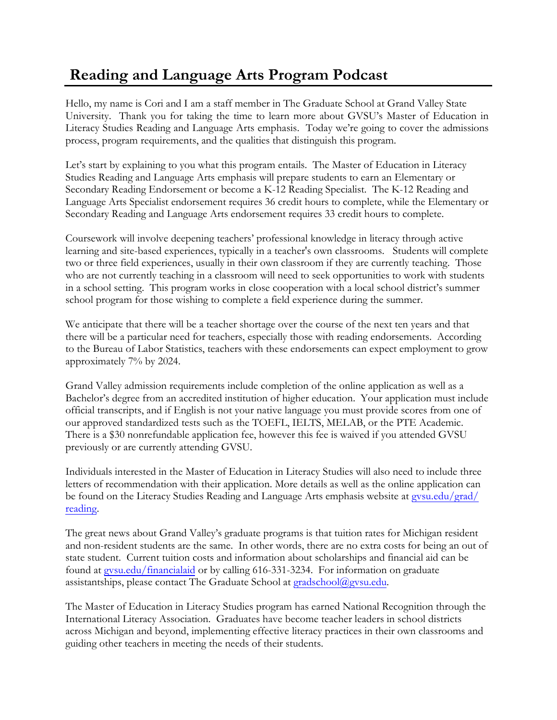## **Reading and Language Arts Program Podcast**

Hello, my name is Cori and I am a staff member in The Graduate School at Grand Valley State University. Thank you for taking the time to learn more about GVSU's Master of Education in Literacy Studies Reading and Language Arts emphasis. Today we're going to cover the admissions process, program requirements, and the qualities that distinguish this program.

Let's start by explaining to you what this program entails. The Master of Education in Literacy Studies Reading and Language Arts emphasis will prepare students to earn an Elementary or Secondary Reading Endorsement or become a K-12 Reading Specialist. The K-12 Reading and Language Arts Specialist endorsement requires 36 credit hours to complete, while the Elementary or Secondary Reading and Language Arts endorsement requires 33 credit hours to complete.

Coursework will involve deepening teachers' professional knowledge in literacy through active learning and site-based experiences, typically in a teacher's own classrooms. Students will complete two or three field experiences, usually in their own classroom if they are currently teaching. Those who are not currently teaching in a classroom will need to seek opportunities to work with students in a school setting. This program works in close cooperation with a local school district's summer school program for those wishing to complete a field experience during the summer.

We anticipate that there will be a teacher shortage over the course of the next ten years and that there will be a particular need for teachers, especially those with reading endorsements. According to the Bureau of Labor Statistics, teachers with these endorsements can expect employment to grow approximately 7% by 2024.

Grand Valley admission requirements include completion of the online application as well as a Bachelor's degree from an accredited institution of higher education. Your application must include official transcripts, and if English is not your native language you must provide scores from one of our approved standardized tests such as the TOEFL, IELTS, MELAB, or the PTE Academic. There is a \$30 nonrefundable application fee, however this fee is waived if you attended GVSU previously or are currently attending GVSU.

Individuals interested in the Master of Education in Literacy Studies will also need to include three letters of recommendation with their application. More details as well as the online application can be found on the Literacy Studies [Reading and Language](http://www.gvsu.edu/grad/reading) Arts emphasis website at gysu.edu/grad/ reading.

The great news about Grand Valley's graduate programs is that tuition rates for Michigan resident and non-resident students are the same. In other words, there are no extra costs for being an out of state student. Current tuition costs and information about scholarships and financial aid can be found at [gvsu.edu/financialaid](http://www.gvsu.edu/financialaid) or by calling 616-331-3234. For information on graduate assistantships, please contact The Graduate School at [gradschool@gvsu.edu.](mailto:gradschool@gvsu.edu)

The Master of Education in Literacy Studies program has earned National Recognition through the International Literacy Association. Graduates have become teacher leaders in school districts across Michigan and beyond, implementing effective literacy practices in their own classrooms and guiding other teachers in meeting the needs of their students.